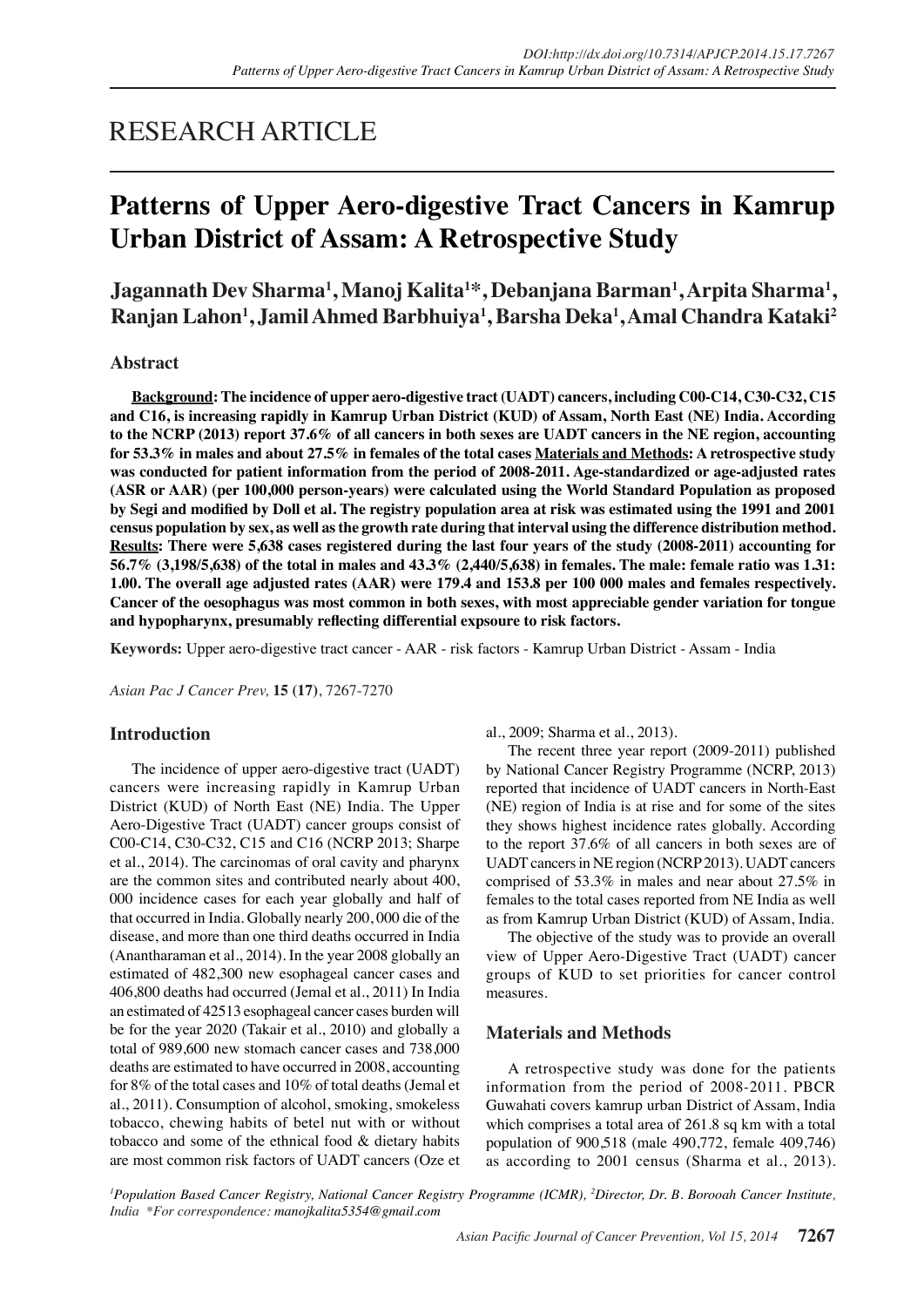## RESEARCH ARTICLE

# **Patterns of Upper Aero-digestive Tract Cancers in Kamrup Urban District of Assam: A Retrospective Study**

**Jagannath Dev Sharma1 , Manoj Kalita1 \*, Debanjana Barman1 , Arpita Sharma1 , Ranjan Lahon1 , Jamil Ahmed Barbhuiya1 , Barsha Deka1 , Amal Chandra Kataki2**

## **Abstract**

**Background: The incidence of upper aero-digestive tract (UADT) cancers, including C00-C14, C30-C32, C15 and C16, is increasing rapidly in Kamrup Urban District (KUD) of Assam, North East (NE) India. According to the NCRP (2013) report 37.6% of all cancers in both sexes are UADT cancers in the NE region, accounting for 53.3% in males and about 27.5% in females of the total cases Materials and Methods: A retrospective study was conducted for patient information from the period of 2008-2011. Age-standardized or age-adjusted rates (ASR or AAR) (per 100,000 person-years) were calculated using the World Standard Population as proposed by Segi and modified by Doll et al. The registry population area at risk was estimated using the 1991 and 2001 census population by sex, as well as the growth rate during that interval using the difference distribution method. Results: There were 5,638 cases registered during the last four years of the study (2008-2011) accounting for 56.7% (3,198/5,638) of the total in males and 43.3% (2,440/5,638) in females. The male: female ratio was 1.31: 1.00. The overall age adjusted rates (AAR) were 179.4 and 153.8 per 100 000 males and females respectively. Cancer of the oesophagus was most common in both sexes, with most appreciable gender variation for tongue and hypopharynx, presumably reflecting differential expsoure to risk factors.**

**Keywords:** Upper aero-digestive tract cancer - AAR - risk factors - Kamrup Urban District - Assam - India

*Asian Pac J Cancer Prev,* **15 (17)**, 7267-7270

## **Introduction**

The incidence of upper aero-digestive tract (UADT) cancers were increasing rapidly in Kamrup Urban District (KUD) of North East (NE) India. The Upper Aero-Digestive Tract (UADT) cancer groups consist of C00-C14, C30-C32, C15 and C16 (NCRP 2013; Sharpe et al., 2014). The carcinomas of oral cavity and pharynx are the common sites and contributed nearly about 400, 000 incidence cases for each year globally and half of that occurred in India. Globally nearly 200, 000 die of the disease, and more than one third deaths occurred in India (Anantharaman et al., 2014). In the year 2008 globally an estimated of 482,300 new esophageal cancer cases and 406,800 deaths had occurred (Jemal et al., 2011) In India an estimated of 42513 esophageal cancer cases burden will be for the year 2020 (Takair et al., 2010) and globally a total of 989,600 new stomach cancer cases and 738,000 deaths are estimated to have occurred in 2008, accounting for 8% of the total cases and 10% of total deaths (Jemal et al., 2011). Consumption of alcohol, smoking, smokeless tobacco, chewing habits of betel nut with or without tobacco and some of the ethnical food & dietary habits are most common risk factors of UADT cancers (Oze et al., 2009; Sharma et al., 2013).

The recent three year report (2009-2011) published by National Cancer Registry Programme (NCRP, 2013) reported that incidence of UADT cancers in North-East (NE) region of India is at rise and for some of the sites they shows highest incidence rates globally. According to the report 37.6% of all cancers in both sexes are of UADT cancers in NE region (NCRP 2013). UADT cancers comprised of 53.3% in males and near about 27.5% in females to the total cases reported from NE India as well as from Kamrup Urban District (KUD) of Assam, India.

The objective of the study was to provide an overall view of Upper Aero-Digestive Tract (UADT) cancer groups of KUD to set priorities for cancer control measures.

## **Materials and Methods**

A retrospective study was done for the patients information from the period of 2008-2011. PBCR Guwahati covers kamrup urban District of Assam, India which comprises a total area of 261.8 sq km with a total population of 900,518 (male 490,772, female 409,746) as according to 2001 census (Sharma et al., 2013).

<sup>1</sup> Population Based Cancer Registry, National Cancer Registry Programme (ICMR), <sup>2</sup>Director, Dr. B. Borooah Cancer Institute, *India \*For correspondence: manojkalita5354@gmail.com*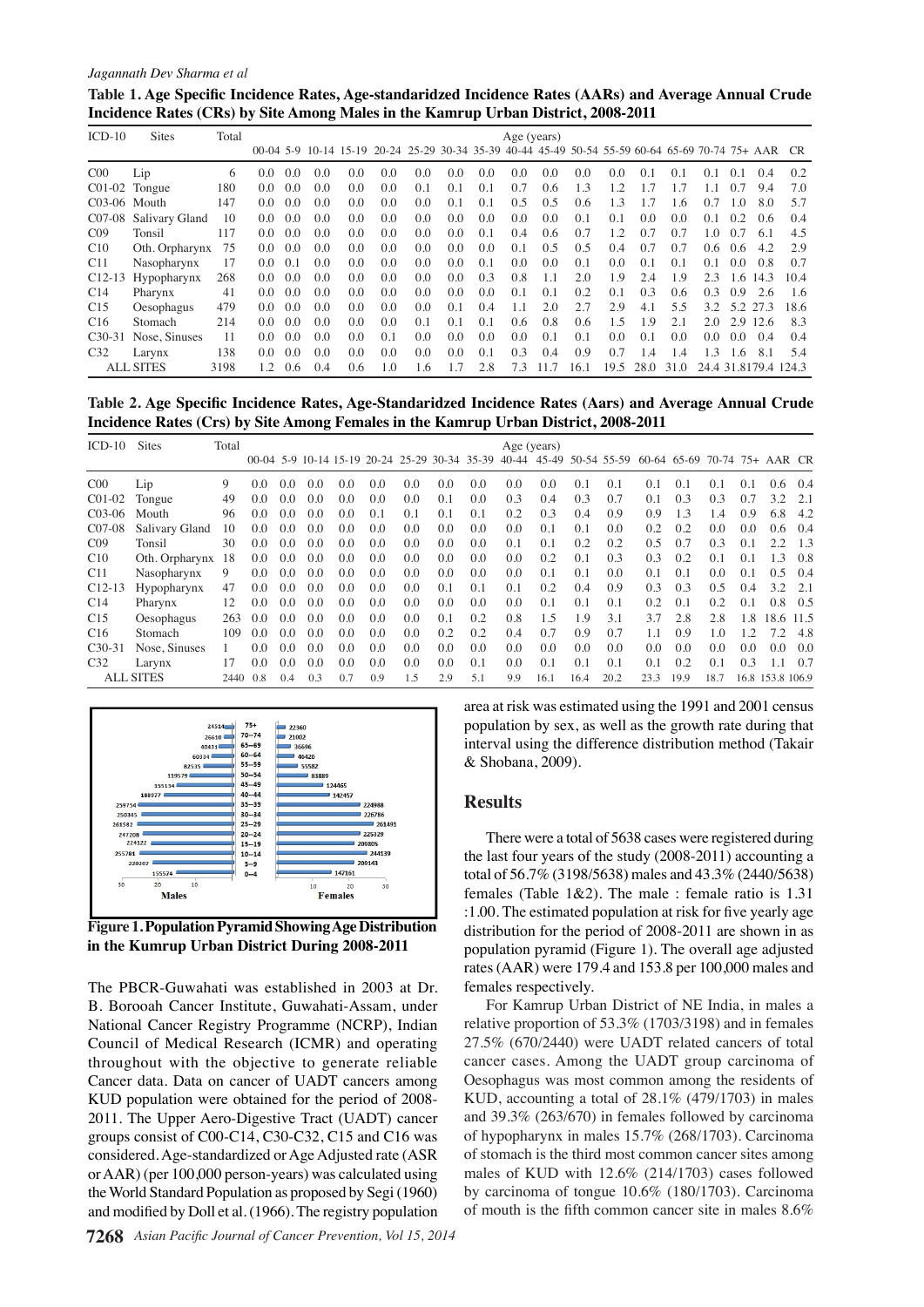#### *Jagannath Dev Sharma et al*

| Table 1. Age Specific Incidence Rates, Age-standaridzed Incidence Rates (AARs) and Average Annual Crude |  |
|---------------------------------------------------------------------------------------------------------|--|
| Incidence Rates (CRs) by Site Among Males in the Kamrup Urban District, 2008-2011                       |  |

| $ICD-10$        | <b>Sites</b>     | Total |     |     |     |     |                                                                                                    |     |     |               | $Age$ (years) |      |      |      |           |               |               |     |                      |      |
|-----------------|------------------|-------|-----|-----|-----|-----|----------------------------------------------------------------------------------------------------|-----|-----|---------------|---------------|------|------|------|-----------|---------------|---------------|-----|----------------------|------|
|                 |                  |       |     |     |     |     | 00-04 5-9 10-14 15-19 20-24 25-29 30-34 35-39 40-44 45-49 50-54 55-59 60-64 65-69 70-74 75+ AAR CR |     |     |               |               |      |      |      |           |               |               |     |                      |      |
| C <sub>00</sub> | Lip              | 6     | 0.0 | 0.0 | 0.0 | 0.0 | 0.0                                                                                                | 0.0 | 0.0 | 0.0           | 0.0           | 0.0  | 0.0  | 0.0  | 0.1       | 0.1           | 0.1           | 0.1 | 0.4                  | 0.2  |
|                 | $C01-02$ Tongue  | 180   | 0.0 | 0.0 | 0.0 | 0.0 | 0.0                                                                                                | 0.1 | 0.1 | 0.1           | 0.7           | 0.6  | 1.3  | 12   | 17        |               | 1.1           | 0.7 | 9.4                  | 7.0  |
| $C03-06$ Mouth  |                  | 147   | 0.0 | 0.0 | 0.0 | 0.0 | 0.0                                                                                                | 0.0 | 0.1 | 0.1           | 0.5           | 0.5  | 0.6  | 1.3  | 1.7       | - 6           | 0.7           | 1.0 | 8.0                  | 5.7  |
| C07-08          | Salivary Gland   | 10    | 0.0 | 0.0 | 0.0 | 0.0 | 0.0                                                                                                | 0.0 | 0.0 | $0.0^{\circ}$ | 0.0           | 0.0  | 0.1  | 0.1  | 0.0       | 0.0           | 0.1           | 0.2 | 0.6                  | 0.4  |
| CO <sub>9</sub> | Tonsil           | 117   | 0.0 | 0.0 | 0.0 | 0.0 | 0.0                                                                                                | 0.0 | 0.0 | 0.1           | 0.4           | 0.6  | 0.7  | 12   | 0.7       | 0.7           | 1.0           | 0.7 | 6.1                  | 4.5  |
| C10             | Oth. Orpharynx   | 75    | 0.0 | 0.0 | 0.0 | 0.0 | 0.0                                                                                                | 0.0 | 0.0 | $0.0^{\circ}$ | 0.1           | 0.5  | 0.5  | 0.4  | 0.7       | 0.7           | 0.6           | 0.6 | 4.2                  | 2.9  |
| C11             | Nasopharynx      | 17    | 0.0 | 0.1 | 0.0 | 0.0 | 0.0                                                                                                | 0.0 | 0.0 | 0.1           | 0.0           | 0.0  | 0.1  | 0.0  | 0.1       | 0.1           | 0.1           | 0.0 | 0.8                  | 0.7  |
| $C12-13$        | Hypopharynx      | 268   | 0.0 | 0.0 | 0.0 | 0.0 | 0.0                                                                                                | 0.0 | 0.0 | 0.3           | 0.8           | 1.1  | 2.0  | 1.9  | 2.4       | 1.9           | 2.3           | 1.6 | 14.3                 | 10.4 |
| C <sub>14</sub> | Pharynx          | 41    | 0.0 | 0.0 | 0.0 | 0.0 | 0.0                                                                                                | 0.0 | 0.0 | 0.0           | 0.1           | 0.1  | 0.2  | 0.1  | 0.3       | 0.6           | 0.3           | 0.9 | 2.6                  | 1.6  |
| C15             | Oesophagus       | 479   | 0.0 | 0.0 | 0.0 | 0.0 | 0.0                                                                                                | 0.0 | 0.1 | 0.4           | 1.1           | 2.0  | 2.7  | 2.9  | 4.1       | 5.5           | 3.2           | 5.2 | 27.3                 | 18.6 |
| C <sub>16</sub> | Stomach          | 214   | 0.0 | 0.0 | 0.0 | 0.0 | 0.0                                                                                                | 0.1 | 0.1 | 0.1           | 0.6           | 0.8  | 0.6  | 1.5  | 1.9       | 2.1           | 2.0           |     | 2.9 12.6             | 8.3  |
| $C_{30-31}$     | Nose, Sinuses    | 11    | 0.0 | 0.0 | 0.0 | 0.0 | 0.1                                                                                                | 0.0 | 0.0 | 0.0           | 0.0           | 0.1  | 0.1  | 0.0  | 0.1       | 0.0           | $0.0^{\circ}$ | 0.0 | 0.4                  | 0.4  |
| C <sub>32</sub> | Larynx           | 138   | 0.0 | 0.0 | 0.0 | 0.0 | 0.0                                                                                                | 0.0 | 0.0 | 0.1           | 0.3           | 0.4  | 0.9  | 0.7  | 1.4       | $\mathcal{A}$ | 1.3           | l 6 | 8.1                  | 5.4  |
|                 | <b>ALL SITES</b> | 3198  | 12  | 0.6 | 0.4 | 0.6 | 1.0                                                                                                | 1.6 | 1.7 | 2.8           | 7.3           | 11.7 | 16.1 | 19.5 | 28.0 31.0 |               |               |     | 24.4 31.8179.4 124.3 |      |

**Table 2. Age Specific Incidence Rates, Age-Standaridzed Incidence Rates (Aars) and Average Annual Crude Incidence Rates (Crs) by Site Among Females in the Kamrup Urban District, 2008-2011**

| $ICD-10$            | <b>Sites</b>     | Total |          |     |     |     |     |               |                                               |     | Age (years) |                                                      |      |      |      |      |      |     |                  |        |
|---------------------|------------------|-------|----------|-----|-----|-----|-----|---------------|-----------------------------------------------|-----|-------------|------------------------------------------------------|------|------|------|------|------|-----|------------------|--------|
|                     |                  |       |          |     |     |     |     |               | 00-04 5-9 10-14 15-19 20-24 25-29 30-34 35-39 |     |             | 40-44 45-49 50-54 55-59 60-64 65-69 70-74 75+ AAR CR |      |      |      |      |      |     |                  |        |
| CO <sub>0</sub>     | Lip              | 9     | 0.0      | 0.0 | 0.0 | 0.0 | 0.0 | 0.0           | 0.0                                           | 0.0 | 0.0         | 0.0                                                  | 0.1  | 0.1  | 0.1  | 0.1  | 0.1  | 0.1 | 0.6              | 0.4    |
| $CO1-02$            | Tongue           | 49    | 0.0      | 0.0 | 0.0 | 0.0 | 0.0 | 0.0           | 0.1                                           | 0.0 | 0.3         | 0.4                                                  | 0.3  | 0.7  | 0.1  | 0.3  | 0.3  | 0.7 | 3.2.             | -2.1   |
| $C_{0.3-06}$        | Mouth            | 96    | 0.0      | 0.0 | 0.0 | 0.0 | 0.1 | 0.1           | 0.1                                           | 0.1 | 0.2         | 0.3                                                  | 0.4  | 0.9  | 0.9  | 1.3  | 1.4  | 0.9 | 6.8              | 4.2    |
| C <sub>07</sub> -08 | Salivary Gland   | 10    | 0.0      | 0.0 | 0.0 | 0.0 | 0.0 | 0.0           | 0.0                                           | 0.0 | 0.0         | 0.1                                                  | 0.1  | 0.0  | 0.2  | 0.2  | 0.0  | 0.0 | 0.6              | 0.4    |
| CO9                 | Tonsil           | 30    | 0.0      | 0.0 | 0.0 | 0.0 | 0.0 | 0.0           | 0.0                                           | 0.0 | 0.1         | 0.1                                                  | 0.2  | 0.2  | 0.5  | 0.7  | 0.3  | 0.1 | 22               | $-1.3$ |
| C10                 | Oth. Orpharynx   | 18    | 0.0      | 0.0 | 0.0 | 0.0 | 0.0 | 0.0           | 0.0                                           | 0.0 | 0.0         | 0.2                                                  | 0.1  | 0.3  | 0.3  | 0.2  | 0.1  | 0.1 | 1.3              | 0.8    |
| C <sub>11</sub>     | Nasopharynx      | 9     | 0.0      | 0.0 | 0.0 | 0.0 | 0.0 | $0.0^{\circ}$ | 0.0                                           | 0.0 | 0.0         | 0.1                                                  | 0.1  | 0.0  | 0.1  | 0.1  | 0.0  | 0.1 | 0.5              | 0.4    |
| $C12-13$            | Hypopharynx      | 47    | 0.0      | 0.0 | 0.0 | 0.0 | 0.0 | 0.0           | 0.1                                           | 0.1 | 0.1         | 0.2                                                  | 0.4  | 0.9  | 0.3  | 0.3  | 0.5  | 0.4 | 3.2              | -2.1   |
| C14                 | Pharynx          | 12    | 0.0      | 0.0 | 0.0 | 0.0 | 0.0 | 0.0           | 0.0                                           | 0.0 | 0.0         | 0.1                                                  | 0.1  | 0.1  | 0.2  | 0.1  | 0.2  | 0.1 | 0.8              | - 0.5  |
| C15                 | Oesophagus       | 263   | 0.0      | 0.0 | 0.0 | 0.0 | 0.0 | 0.0           | 0.1                                           | 0.2 | 0.8         | 1.5                                                  | 1.9  | 3.1  | 3.7  | 2.8  | 2.8  | 1.8 | 18.6 11.5        |        |
| C16                 | Stomach          | 109   | 0.0      | 0.0 | 0.0 | 0.0 | 0.0 | 0.0           | 0.2                                           | 0.2 | 0.4         | 0.7                                                  | 0.9  | 0.7  | 1.1  | 0.9  | 1.0  | 1.2 | 7.2              | 4.8    |
| $C30-31$            | Nose, Sinuses    |       | 0.0      | 0.0 | 0.0 | 0.0 | 0.0 | 0.0           | 0.0                                           | 0.0 | 0.0         | 0.0                                                  | 0.0  | 0.0  | 0.0  | 0.0  | 0.0  | 0.0 | 0.0              | 0.0    |
| C <sub>32</sub>     | Larynx           |       | 0.0      | 0.0 | 0.0 | 0.0 | 0.0 | 0.0           | 0.0                                           | 0.1 | 0.0         | 0.1                                                  | 0.1  | 0.1  | 0.1  | 0.2  | 0.1  | 0.3 |                  | 0.7    |
|                     | <b>ALL SITES</b> |       | 2440 0.8 | 0.4 | 0.3 | 0.7 | 0.9 | 1.5           | 2.9                                           | 5.1 | 9.9         | 16.1                                                 | 16.4 | 20.2 | 23.3 | 19.9 | 18.7 |     | 16.8 153.8 106.9 |        |



**Figure 1. Population Pyramid Showing Age Distribution in the Kumrup Urban District During 2008-2011**

The PBCR-Guwahati was established in 2003 at Dr. B. Borooah Cancer Institute, Guwahati-Assam, under National Cancer Registry Programme (NCRP), Indian Council of Medical Research (ICMR) and operating throughout with the objective to generate reliable Cancer data. Data on cancer of UADT cancers among KUD population were obtained for the period of 2008- 2011. The Upper Aero-Digestive Tract (UADT) cancer groups consist of C00-C14, C30-C32, C15 and C16 was considered. Age-standardized or Age Adjusted rate (ASR or AAR) (per 100,000 person-years) was calculated using the World Standard Population as proposed by Segi (1960) and modified by Doll et al. (1966). The registry population

area at risk was estimated using the 1991 and 2001 census population by sex, as well as the growth rate during that interval using the difference distribution method (Takair & Shobana, 2009).

#### **Results**

There were a total of 5638 cases were registered during the last four years of the study (2008-2011) accounting a total of 56.7% (3198/5638) males and 43.3% (2440/5638) females (Table 1&2). The male : female ratio is 1.31 :1.00. The estimated population at risk for five yearly age distribution for the period of 2008-2011 are shown in as population pyramid (Figure 1). The overall age adjusted rates (AAR) were 179.4 and 153.8 per 100,000 males and females respectively.

For Kamrup Urban District of NE India, in males a relative proportion of 53.3% (1703/3198) and in females 27.5% (670/2440) were UADT related cancers of total cancer cases. Among the UADT group carcinoma of Oesophagus was most common among the residents of KUD, accounting a total of 28.1% (479/1703) in males and 39.3% (263/670) in females followed by carcinoma of hypopharynx in males 15.7% (268/1703). Carcinoma of stomach is the third most common cancer sites among males of KUD with 12.6% (214/1703) cases followed by carcinoma of tongue 10.6% (180/1703). Carcinoma of mouth is the fifth common cancer site in males 8.6%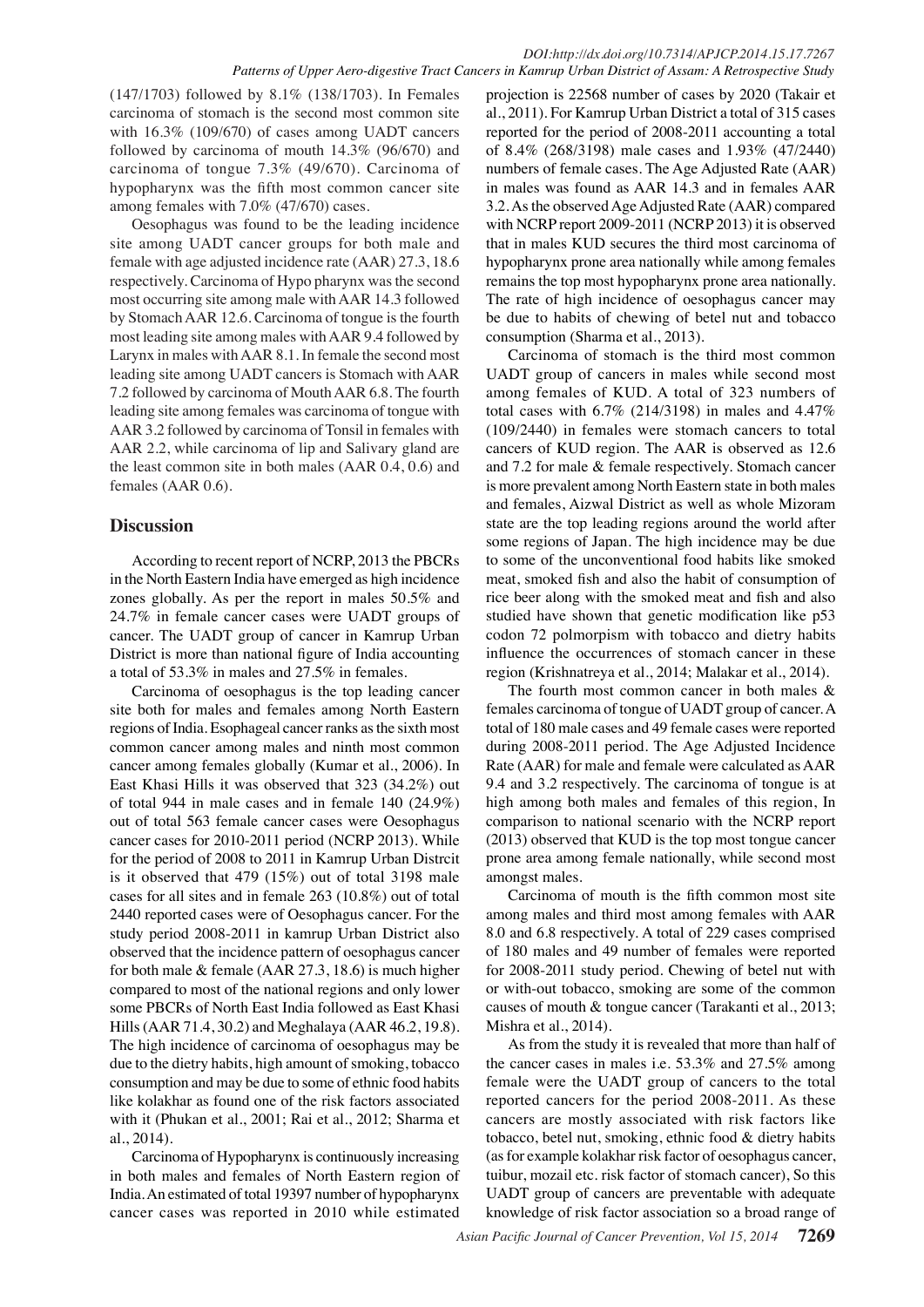(147/1703) followed by 8.1% (138/1703). In Females carcinoma of stomach is the second most common site with  $16.3\%$  (109/670) of cases among UADT cancers followed by carcinoma of mouth 14.3% (96/670) and carcinoma of tongue 7.3% (49/670). Carcinoma of hypopharynx was the fifth most common cancer site among females with 7.0% (47/670) cases.

Oesophagus was found to be the leading incidence site among UADT cancer groups for both male and female with age adjusted incidence rate (AAR) 27.3, 18.6 respectively. Carcinoma of Hypo pharynx was the second most occurring site among male with AAR 14.3 followed by Stomach AAR 12.6. Carcinoma of tongue is the fourth most leading site among males with AAR 9.4 followed by Larynx in males with AAR 8.1. In female the second most leading site among UADT cancers is Stomach with AAR 7.2 followed by carcinoma of Mouth AAR 6.8. The fourth leading site among females was carcinoma of tongue with AAR 3.2 followed by carcinoma of Tonsil in females with AAR 2.2, while carcinoma of lip and Salivary gland are the least common site in both males (AAR 0.4, 0.6) and females (AAR 0.6).

## **Discussion**

According to recent report of NCRP, 2013 the PBCRs in the North Eastern India have emerged as high incidence zones globally. As per the report in males 50.5% and 24.7% in female cancer cases were UADT groups of cancer. The UADT group of cancer in Kamrup Urban District is more than national figure of India accounting a total of 53.3% in males and 27.5% in females.

Carcinoma of oesophagus is the top leading cancer site both for males and females among North Eastern regions of India. Esophageal cancer ranks as the sixth most common cancer among males and ninth most common cancer among females globally (Kumar et al., 2006). In East Khasi Hills it was observed that 323 (34.2%) out of total 944 in male cases and in female 140 (24.9%) out of total 563 female cancer cases were Oesophagus cancer cases for 2010-2011 period (NCRP 2013). While for the period of 2008 to 2011 in Kamrup Urban Distrcit is it observed that 479 (15%) out of total 3198 male cases for all sites and in female 263 (10.8%) out of total 2440 reported cases were of Oesophagus cancer. For the study period 2008-2011 in kamrup Urban District also observed that the incidence pattern of oesophagus cancer for both male & female (AAR 27.3, 18.6) is much higher compared to most of the national regions and only lower some PBCRs of North East India followed as East Khasi Hills (AAR 71.4, 30.2) and Meghalaya (AAR 46.2, 19.8). The high incidence of carcinoma of oesophagus may be due to the dietry habits, high amount of smoking, tobacco consumption and may be due to some of ethnic food habits like kolakhar as found one of the risk factors associated with it (Phukan et al., 2001; Rai et al., 2012; Sharma et al., 2014).

Carcinoma of Hypopharynx is continuously increasing in both males and females of North Eastern region of India. An estimated of total 19397 number of hypopharynx cancer cases was reported in 2010 while estimated

projection is 22568 number of cases by 2020 (Takair et al., 2011). For Kamrup Urban District a total of 315 cases reported for the period of 2008-2011 accounting a total of 8.4% (268/3198) male cases and 1.93% (47/2440) numbers of female cases. The Age Adjusted Rate (AAR) in males was found as AAR 14.3 and in females AAR 3.2. As the observed Age Adjusted Rate (AAR) compared with NCRP report 2009-2011 (NCRP 2013) it is observed that in males KUD secures the third most carcinoma of hypopharynx prone area nationally while among females remains the top most hypopharynx prone area nationally. The rate of high incidence of oesophagus cancer may be due to habits of chewing of betel nut and tobacco consumption (Sharma et al., 2013).

Carcinoma of stomach is the third most common UADT group of cancers in males while second most among females of KUD. A total of 323 numbers of total cases with  $6.7\%$  (214/3198) in males and 4.47% (109/2440) in females were stomach cancers to total cancers of KUD region. The AAR is observed as 12.6 and 7.2 for male & female respectively. Stomach cancer is more prevalent among North Eastern state in both males and females, Aizwal District as well as whole Mizoram state are the top leading regions around the world after some regions of Japan. The high incidence may be due to some of the unconventional food habits like smoked meat, smoked fish and also the habit of consumption of rice beer along with the smoked meat and fish and also studied have shown that genetic modification like p53 codon 72 polmorpism with tobacco and dietry habits influence the occurrences of stomach cancer in these region (Krishnatreya et al., 2014; Malakar et al., 2014).

The fourth most common cancer in both males & females carcinoma of tongue of UADT group of cancer. A total of 180 male cases and 49 female cases were reported during 2008-2011 period. The Age Adjusted Incidence Rate (AAR) for male and female were calculated as AAR 9.4 and 3.2 respectively. The carcinoma of tongue is at high among both males and females of this region, In comparison to national scenario with the NCRP report (2013) observed that KUD is the top most tongue cancer prone area among female nationally, while second most amongst males.

Carcinoma of mouth is the fifth common most site among males and third most among females with AAR 8.0 and 6.8 respectively. A total of 229 cases comprised of 180 males and 49 number of females were reported for 2008-2011 study period. Chewing of betel nut with or with-out tobacco, smoking are some of the common causes of mouth & tongue cancer (Tarakanti et al., 2013; Mishra et al., 2014).

As from the study it is revealed that more than half of the cancer cases in males i.e. 53.3% and 27.5% among female were the UADT group of cancers to the total reported cancers for the period 2008-2011. As these cancers are mostly associated with risk factors like tobacco, betel nut, smoking, ethnic food & dietry habits (as for example kolakhar risk factor of oesophagus cancer, tuibur, mozail etc. risk factor of stomach cancer), So this UADT group of cancers are preventable with adequate knowledge of risk factor association so a broad range of